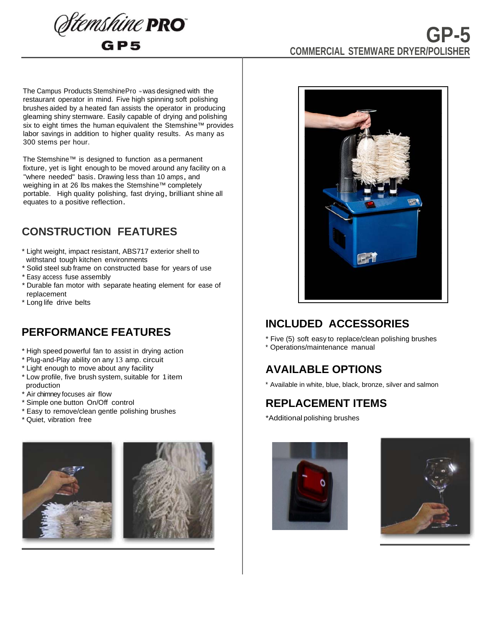

# **GP-5 COMMERCIAL STEMWARE DRYER/POLISHER**

The Campus Products StemshinePro ™ was designed with the restaurant operator in mind. Five high spinning soft polishing brushes aided by a heated fan assists the operator in producing gleaming shiny stemware. Easily capable of drying and polishing six to eight times the human equivalent the Stemshine™ provides labor savings in addition to higher quality results. As many as 300 stems per hour.

The Stemshine™ is designed to function as a permanent fixture, yet is light enough to be moved around any facility on a "where needed" basis. Drawing less than 10 amps, and weighing in at 26 lbs makes the Stemshine™ completely portable. High quality polishing, fast drying, brilliant shine all equates to a positive reflection.

## **CONSTRUCTION FEATURES**

- \* Light weight, impact resistant, ABS717 exterior shell to withstand tough kitchen environments
- \* Solid steel sub frame on constructed base for years of use
- \* Easy access fuse assembly
- \* Durable fan motor with separate heating element for ease of replacement
- \* Long life drive belts

#### **PERFORMANCE FEATURES**

- \* High speed powerful fan to assist in drying action
- \* Plug-and-Play ability on any 13 amp. circuit
- \* Light enough to move about any facility
- \* Low profile, five brush system, suitable for 1item production
- \* Air chimney focuses air flow
- \* Simple one button On/Off control
- \* Easy to remove/clean gentle polishing brushes
- \* Quiet, vibration free





# **INCLUDED ACCESSORIES**

\* Five (5) soft easy to replace/clean polishing brushes \* Operations/maintenance manual

# **AVAILABLE OPTIONS**

\* Available in white, blue, black, bronze, silver and salmon

## **REPLACEMENT ITEMS**

\*Additional polishing brushes